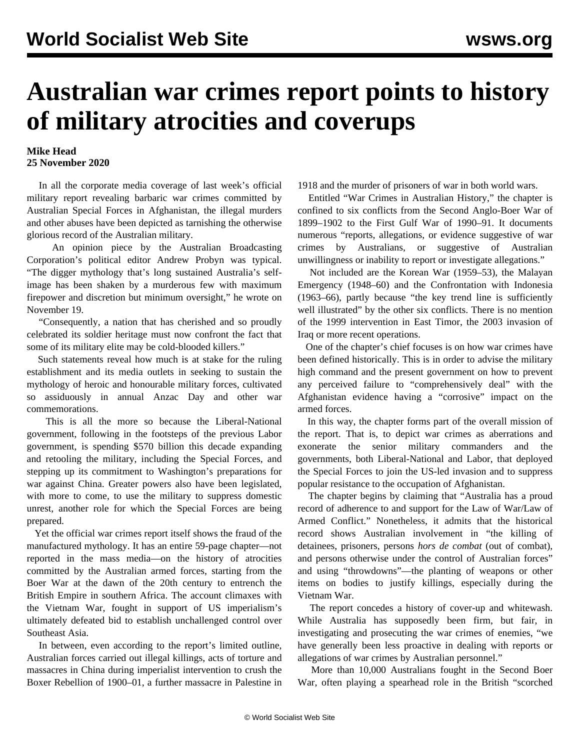## **Australian war crimes report points to history of military atrocities and coverups**

## **Mike Head 25 November 2020**

 In all the corporate media coverage of last week's official military report revealing barbaric war crimes committed by Australian Special Forces in Afghanistan, the illegal murders and other abuses have been depicted as tarnishing the otherwise glorious record of the Australian military.

 An opinion piece by the Australian Broadcasting Corporation's political editor Andrew Probyn was typical. "The digger mythology that's long sustained Australia's selfimage has been shaken by a murderous few with maximum firepower and discretion but minimum oversight," he wrote on November 19.

 "Consequently, a nation that has cherished and so proudly celebrated its soldier heritage must now confront the fact that some of its military elite may be cold-blooded killers."

 Such statements reveal how much is at stake for the ruling establishment and its media outlets in seeking to sustain the mythology of heroic and honourable military forces, cultivated so assiduously in annual Anzac Day and other war commemorations.

 This is all the more so because the Liberal-National government, following in the footsteps of the previous Labor government, is spending \$570 billion this decade expanding and retooling the military, including the [Special Forces](/en/articles/2019/08/16/sasf-s16.html), and stepping up its commitment to Washington's preparations for war against China. Greater powers also have been legislated, with [more to come](/en/articles/2020/10/16/mili-o16.html), to use the military to suppress domestic unrest, another role for which the Special Forces are being prepared.

 Yet the official war crimes report itself shows the fraud of the manufactured mythology. It has an entire 59-page chapter—not reported in the mass media—on the history of atrocities committed by the Australian armed forces, starting from the Boer War at the dawn of the 20th century to entrench the British Empire in southern Africa. The account climaxes with the Vietnam War, fought in support of US imperialism's ultimately defeated bid to establish unchallenged control over Southeast Asia.

 In between, even according to the report's limited outline, Australian forces carried out illegal killings, acts of torture and massacres in China during imperialist intervention to crush the Boxer Rebellion of 1900–01, a further massacre in Palestine in 1918 and the murder of prisoners of war in both world wars.

 Entitled "War Crimes in Australian History," the chapter is confined to six conflicts from the Second Anglo-Boer War of 1899–1902 to the First Gulf War of 1990–91. It documents numerous "reports, allegations, or evidence suggestive of war crimes by Australians, or suggestive of Australian unwillingness or inability to report or investigate allegations."

 Not included are the Korean War (1959–53), the Malayan Emergency (1948–60) and the Confrontation with Indonesia (1963–66), partly because "the key trend line is sufficiently well illustrated" by the other six conflicts. There is no mention of the 1999 intervention in East Timor, the 2003 invasion of Iraq or more recent operations.

 One of the chapter's chief focuses is on how war crimes have been defined historically. This is in order to advise the military high command and the present government on how to prevent any perceived failure to "comprehensively deal" with the Afghanistan evidence having a "corrosive" impact on the armed forces.

 In this way, the chapter forms part of the overall mission of the report. That is, to depict war crimes as aberrations and exonerate the senior military commanders and the governments, both Liberal-National and Labor, that deployed the Special Forces to join the US-led invasion and to suppress popular resistance to the occupation of Afghanistan.

 The chapter begins by claiming that "Australia has a proud record of adherence to and support for the Law of War/Law of Armed Conflict." Nonetheless, it admits that the historical record shows Australian involvement in "the killing of detainees, prisoners, persons *hors de combat* (out of combat), and persons otherwise under the control of Australian forces" and using "throwdowns"—the planting of weapons or other items on bodies to justify killings, especially during the Vietnam War.

 The report concedes a history of cover-up and whitewash. While Australia has supposedly been firm, but fair, in investigating and prosecuting the war crimes of enemies, "we have generally been less proactive in dealing with reports or allegations of war crimes by Australian personnel."

 More than 10,000 Australians fought in the Second Boer War, often playing a spearhead role in the British "scorched